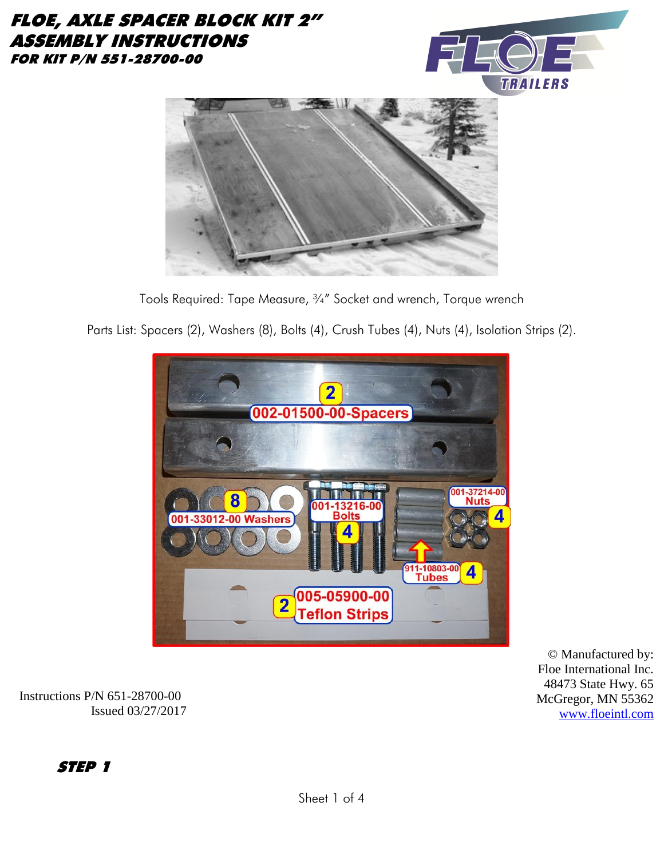#### FLOE, AXLE SPACER BLOCK KIT 2" ASSEMBLY INSTRUCTIONS FOR KIT P/N 551-28700-00





Tools Required: Tape Measure, ¾" Socket and wrench, Torque wrench

Parts List: Spacers (2), Washers (8), Bolts (4), Crush Tubes (4), Nuts (4), Isolation Strips (2).



© Manufactured by: Floe International Inc. 48473 State Hwy. 65 McGregor, MN 55362 [www.floeintl.com](http://www.floeintl.com/)

Instructions P/N 651-28700-00 Issued 03/27/2017

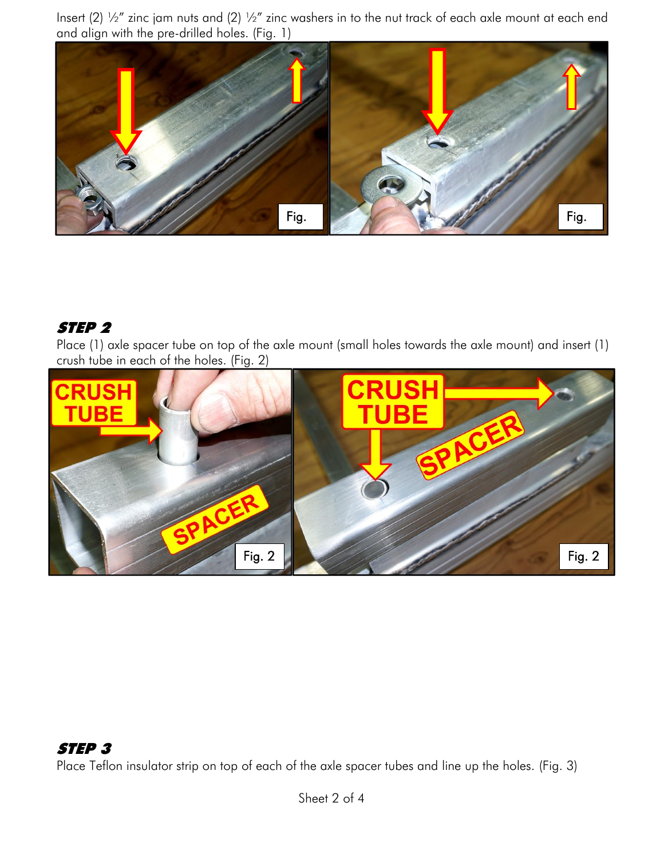Insert (2) ½" zinc jam nuts and (2) ½" zinc washers in to the nut track of each axle mount at each end and align with the pre-drilled holes. (Fig. 1)



## STEP 2

Place (1) axle spacer tube on top of the axle mount (small holes towards the axle mount) and insert (1) crush tube in each of the holes. (Fig. 2)



## STEP 3

Place Teflon insulator strip on top of each of the axle spacer tubes and line up the holes. (Fig. 3)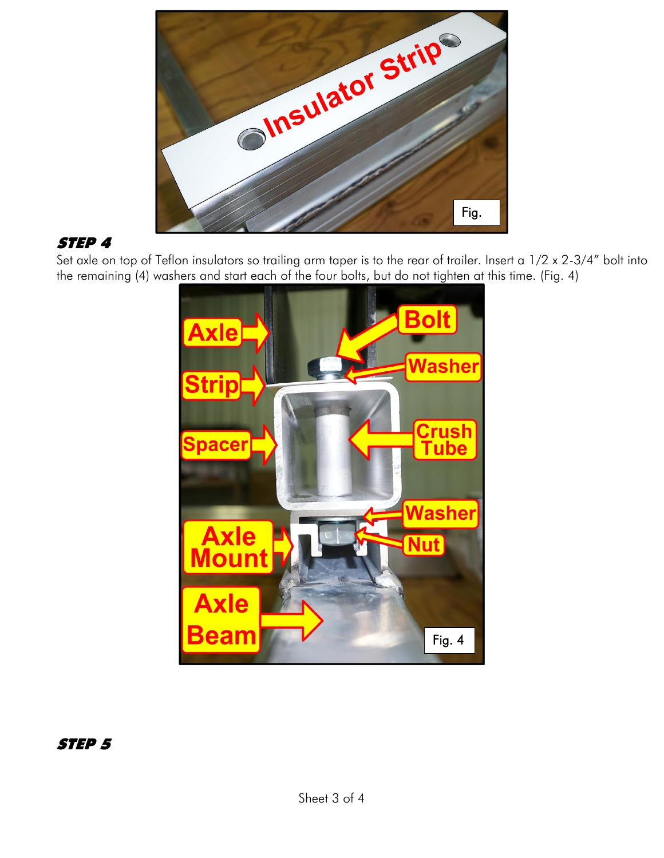

# STEP 4

Set axle on top of Teflon insulators so trailing arm taper is to the rear of trailer. Insert a  $1/2 \times 2-3/4$ " bolt into the remaining (4) washers and start each of the four bolts, but do not tighten at this time. (Fig. 4)



STEP 5